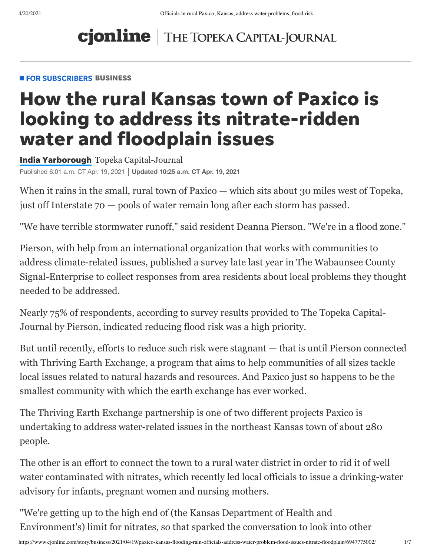## **cjonline** THE TOPEKA CAPITAL-JOURNAL

#### **FOR SUBSCRIBERS BUSINESS**

# How the rural Kansas town of Paxico is looking to address its nitrate-ridden water and floodplain issues

India [Yarborough](https://www.cjonline.com/staff/6329392002/india-yarborough/) Topeka Capital-Journal Published 6:01 a.m. CT Apr. 19, 2021 **Updated 10:25 a.m. CT Apr. 19, 2021**

When it rains in the small, rural town of Paxico — which sits about 30 miles west of Topeka, just off Interstate 70 — pools of water remain long after each storm has passed.

"We have terrible stormwater runoff," said resident Deanna Pierson. "We're in a flood zone."

Pierson, with help from an international organization that works with communities to address climate-related issues, published a survey late last year in The Wabaunsee County Signal-Enterprise to collect responses from area residents about local problems they thought needed to be addressed.

Nearly 75% of respondents, according to survey results provided to The Topeka Capital-Journal by Pierson, indicated reducing flood risk was a high priority.

But until recently, efforts to reduce such risk were stagnant — that is until Pierson connected with [Thriving Earth Exchange](https://thrivingearthexchange.org/), a program that aims to help communities of all sizes tackle local issues related to natural hazards and resources. And Paxico just so happens to be the smallest community with which the earth exchange has ever worked.

The Thriving Earth Exchange partnership is one of two different projects Paxico is [undertaking to address water-related issues in the northeast Kansas town of about 280](https://data.census.gov/cedsci/profile?g=1600000US2054950) people.

The other is an effort to connect the town to a rural water district in order to rid it of well water contaminated with nitrates, which recently led local officials to issue a drinking-water advisory for infants, pregnant women and nursing mothers.

["We're getting up to the high end of \(the Kansas Department of Health and](https://www.kdheks.gov/) Environment's) limit for nitrates, so that sparked the conversation to look into other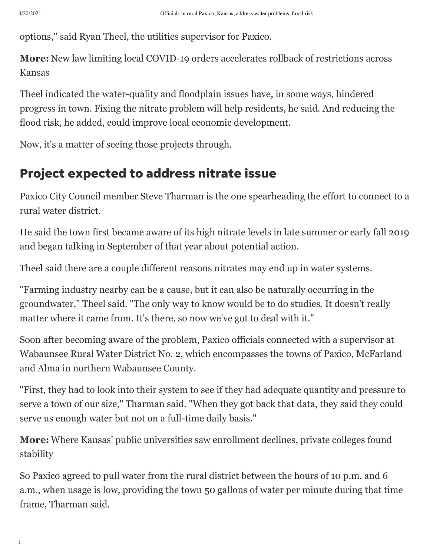options," said Ryan Theel, the utilities supervisor for Paxico.

**More:** [New law limiting local COVID-19 orders accelerates rollback of restrictions across](https://www.cjonline.com/story/news/coronavirus/2021/04/10/new-law-limiting-local-covid-19-orders-accelerates-restrictions-rollback-kansas-politics-county-city/7153366002/) Kansas

Theel indicated the water-quality and floodplain issues have, in some ways, hindered progress in town. Fixing the nitrate problem will help residents, he said. And reducing the flood risk, he added, could improve local economic development.

Now, it's a matter of seeing those projects through.

#### Project expected to address nitrate issue

Paxico City Council member Steve Tharman is the one spearheading the effort to connect to a rural water district.

He said the town first became aware of its high nitrate levels in late summer or early fall 2019 and began talking in September of that year about potential action.

Theel said there are a couple different reasons nitrates may end up in water systems.

"Farming industry nearby can be a cause, but it can also be naturally occurring in the groundwater," Theel said. "The only way to know would be to do studies. It doesn't really matter where it came from. It's there, so now we've got to deal with it."

Soon after becoming aware of the problem, Paxico officials connected with a supervisor at Wabaunsee Rural Water District No. 2, which encompasses the towns of Paxico, McFarland and Alma in northern Wabaunsee County.

"First, they had to look into their system to see if they had adequate quantity and pressure to serve a town of our size," Tharman said. "When they got back that data, they said they could serve us enough water but not on a full-time daily basis."

**More:** [Where Kansas' public universities saw enrollment declines, private colleges found](https://www.cjonline.com/story/news/education/2021/04/18/kansas-private-colleges-see-enrollment-growth-chance-boost-profile/7061519002/) stability

So Paxico agreed to pull water from the rural district between the hours of 10 p.m. and 6 a.m., when usage is low, providing the town 50 gallons of water per minute during that time frame, Tharman said.

https://www.cjonline.com/story/business/2021/04/19/paxico-kansas-flood-issues-nitrate-flood-issues-nitrate-flood-issues-nitrate-flood-issues-nitrate-flood-issues-nitrate-flood-issues-nitrate-flood-issues-nitrate-flood-iss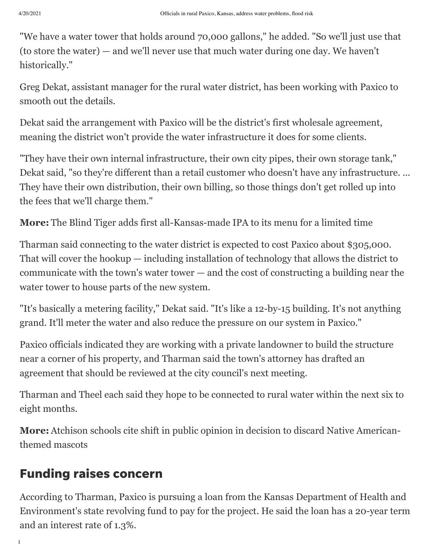"We have a water tower that holds around 70,000 gallons," he added. "So we'll just use that (to store the water) — and we'll never use that much water during one day. We haven't historically."

Greg Dekat, assistant manager for the rural water district, has been working with Paxico to smooth out the details.

Dekat said the arrangement with Paxico will be the district's first wholesale agreement, meaning the district won't provide the water infrastructure it does for some clients.

"They have their own internal infrastructure, their own city pipes, their own storage tank," Dekat said, "so they're different than a retail customer who doesn't have any infrastructure. ... They have their own distribution, their own billing, so those things don't get rolled up into the fees that we'll charge them."

**More:** [The Blind Tiger adds first all-Kansas-made IPA to its menu for a limited time](https://www.cjonline.com/story/entertainment/dining/2021/04/17/blind-tiger-kansas-grown-ipa-beer-new-menu-item/7236954002/)

Tharman said connecting to the water district is expected to cost Paxico about \$305,000. That will cover the hookup — including installation of technology that allows the district to communicate with the town's water tower  $-$  and the cost of constructing a building near the water tower to house parts of the new system.

"It's basically a metering facility," Dekat said. "It's like a 12-by-15 building. It's not anything grand. It'll meter the water and also reduce the pressure on our system in Paxico."

Paxico officials indicated they are working with a private landowner to build the structure near a corner of his property, and Tharman said the town's attorney has drafted an agreement that should be reviewed at the city council's next meeting.

Tharman and Theel each said they hope to be connected to rural water within the next six to eight months.

**More:** [Atchison schools cite shift in public opinion in decision to discard Native American](https://www.cjonline.com/story/news/education/campus/2021/04/14/atchison-school-district-discards-native-american-themed-mascots-board-of-education-redmen-braves/7219840002/)themed mascots

### Funding raises concern

According to Tharman, Paxico is pursuing a loan from the Kansas Department of Health and Environment's state revolving fund to pay for the project. He said the loan has a 20-year term and an interest rate of 1.3%.

https://www.cjonline.com/story/business/2021/04/19/paxico-kansas-flood-issues-nitrate-flood-issues-nitrate-flood-issues-nitrate-flood-issues-nitrate-flood-issues-nitrate-flood-issues-nitrate-flood-issues-nitrate-flood-iss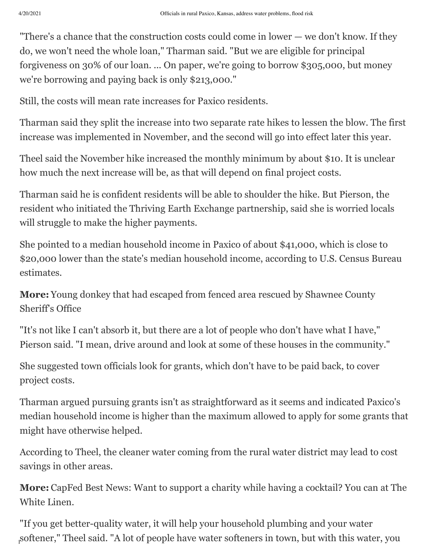"There's a chance that the construction costs could come in lower — we don't know. If they do, we won't need the whole loan," Tharman said. "But we are eligible for principal forgiveness on 30% of our loan. ... On paper, we're going to borrow \$305,000, but money we're borrowing and paying back is only \$213,000."

Still, the costs will mean rate increases for Paxico residents.

Tharman said they split the increase into two separate rate hikes to lessen the blow. The first increase was implemented in November, and the second will go into effect later this year.

Theel said the November hike increased the monthly minimum by about \$10. It is unclear how much the next increase will be, as that will depend on final project costs.

Tharman said he is confident residents will be able to shoulder the hike. But Pierson, the resident who initiated the Thriving Earth Exchange partnership, said she is worried locals will struggle to make the higher payments.

She pointed to a median household income in Paxico of about \$41,000, which is close to \$20,000 lower than the state's median household income, according to U.S. Census Bureau estimates.

**More:** [Young donkey that had escaped from fenced area rescued by Shawnee County](https://www.cjonline.com/story/news/2021/04/16/young-donkey-that-had-escaped-from-fenced-area-rescued-by-sh/7259098002/) Sheriff's Office

"It's not like I can't absorb it, but there are a lot of people who don't have what I have," Pierson said. "I mean, drive around and look at some of these houses in the community."

She suggested town officials look for grants, which don't have to be paid back, to cover project costs.

Tharman argued pursuing grants isn't as straightforward as it seems and indicated Paxico's median household income is higher than the maximum allowed to apply for some grants that might have otherwise helped.

According to Theel, the cleaner water coming from the rural water district may lead to cost savings in other areas.

**More:** [CapFed Best News: Want to support a charity while having a cocktail? You can at The](https://www.cjonline.com/story/entertainment/dining/2021/04/16/white-linens-new-cocktail-lets-you-have-drink-support-charity/7241437002/) White Linen.

softener," Theel said. "A lot of people have water softeners in town, but with this water, you, "If you get better-quality water, it will help your household plumbing and your water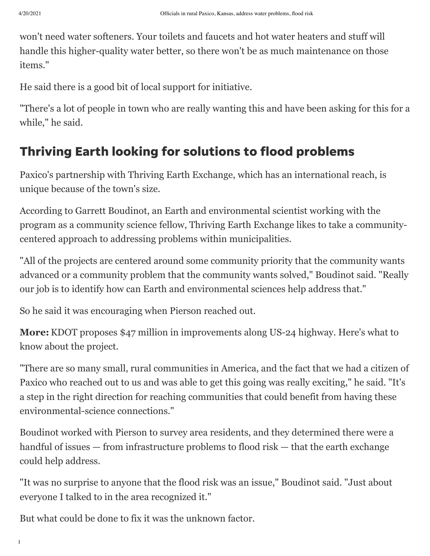won't need water softeners. Your toilets and faucets and hot water heaters and stuff will handle this higher-quality water better, so there won't be as much maintenance on those items."

He said there is a good bit of local support for initiative.

"There's a lot of people in town who are really wanting this and have been asking for this for a while," he said.

#### Thriving Earth looking for solutions to flood problems

Paxico's partnership with Thriving Earth Exchange, which has an international reach, is unique because of the town's size.

According to Garrett Boudinot, an Earth and environmental scientist working with the program as a community science fellow, Thriving Earth Exchange likes to take a communitycentered approach to addressing problems within municipalities.

"All of the projects are centered around some community priority that the community wants advanced or a community problem that the community wants solved," Boudinot said. "Really our job is to identify how can Earth and environmental sciences help address that."

So he said it was encouraging when Pierson reached out.

**More:**[KDOT proposes \\$47 million in improvements along US-24 highway. Here's what to](https://www.cjonline.com/story/news/local/2021/04/16/kansas-dot-department-transportation-proposes-47-million-improvements-along-us-highway-24/7105359002/) know about the project.

"There are so many small, rural communities in America, and the fact that we had a citizen of Paxico who reached out to us and was able to get this going was really exciting," he said. "It's a step in the right direction for reaching communities that could benefit from having these environmental-science connections."

Boudinot worked with Pierson to survey area residents, and they determined there were a handful of issues — from infrastructure problems to flood risk — that the earth exchange could help address.

"It was no surprise to anyone that the flood risk was an issue," Boudinot said. "Just about everyone I talked to in the area recognized it."

But what could be done to fix it was the unknown factor.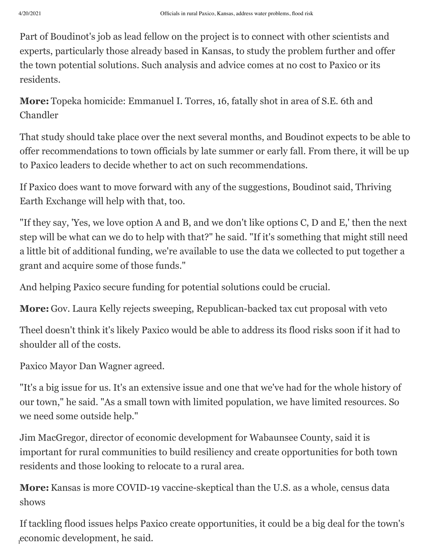Part of Boudinot's job as lead fellow on the project is to connect with other scientists and experts, particularly those already based in Kansas, to study the problem further and offer the town potential solutions. Such analysis and advice comes at no cost to Paxico or its residents.

**More:** [Topeka homicide: Emmanuel I. Torres, 16, fatally shot in area of S.E. 6th and](https://www.cjonline.com/story/news/2021/04/16/homicide-juvenile-fatally-shot-area-s-e-6th-and-chandler/7251120002/) Chandler

That study should take place over the next several months, and Boudinot expects to be able to offer recommendations to town officials by late summer or early fall. From there, it will be up to Paxico leaders to decide whether to act on such recommendations.

If Paxico does want to move forward with any of the suggestions, Boudinot said, Thriving Earth Exchange will help with that, too.

"If they say, 'Yes, we love option A and B, and we don't like options C, D and E,' then the next step will be what can we do to help with that?" he said. "If it's something that might still need a little bit of additional funding, we're available to use the data we collected to put together a grant and acquire some of those funds."

And helping Paxico secure funding for potential solutions could be crucial.

**More:** [Gov. Laura Kelly rejects sweeping, Republican-backed tax cut proposal with veto](https://www.cjonline.com/story/news/politics/state/2021/04/16/kansas-gov-laura-kelly-rejects-sweeping-republican-backed-tax-proposal/7237999002/)

Theel doesn't think it's likely Paxico would be able to address its flood risks soon if it had to shoulder all of the costs.

Paxico Mayor Dan Wagner agreed.

"It's a big issue for us. It's an extensive issue and one that we've had for the whole history of our town," he said. "As a small town with limited population, we have limited resources. So we need some outside help."

Jim MacGregor, director of economic development for Wabaunsee County, said it is important for rural communities to build resiliency and create opportunities for both town residents and those looking to relocate to a rural area.

**More:**[Kansas is more COVID-19 vaccine-skeptical than the U.S. as a whole, census data](https://www.cjonline.com/story/news/coronavirus/2021/04/16/kansas-more-covid-19-vaccine-skeptical-than-us-united-states-whole/7238991002/) shows

 $h_1$ economic development, he said. If tackling flood issues helps Paxico create opportunities, it could be a big deal for the town's